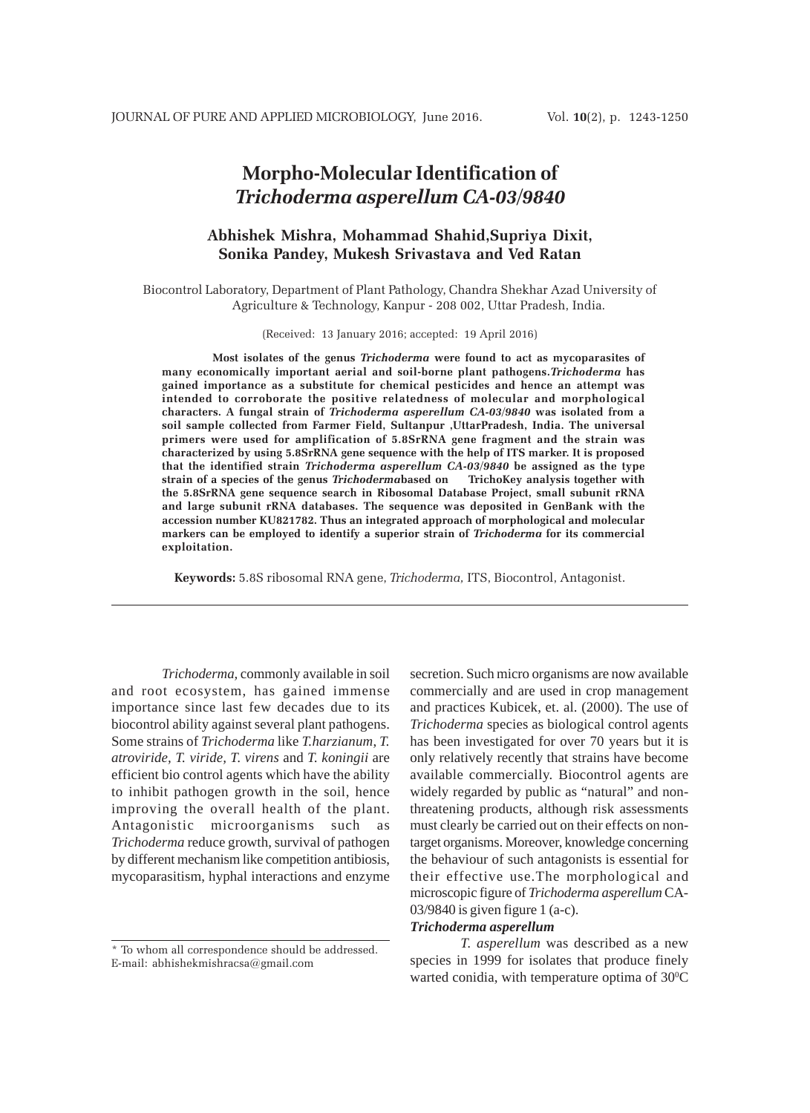# **Morpho-Molecular Identification of** *Trichoderma asperellum CA-03/9840*

## **Abhishek Mishra, Mohammad Shahid,Supriya Dixit, Sonika Pandey, Mukesh Srivastava and Ved Ratan**

Biocontrol Laboratory, Department of Plant Pathology, Chandra Shekhar Azad University of Agriculture & Technology, Kanpur - 208 002, Uttar Pradesh, India.

(Received: 13 January 2016; accepted: 19 April 2016)

**Most isolates of the genus** *Trichoderma* **were found to act as mycoparasites of many economically important aerial and soil-borne plant pathogens.***Trichoderma* **has gained importance as a substitute for chemical pesticides and hence an attempt was intended to corroborate the positive relatedness of molecular and morphological characters. A fungal strain of** *Trichoderma asperellum CA-03/9840* **was isolated from a soil sample collected from Farmer Field, Sultanpur ,UttarPradesh, India. The universal primers were used for amplification of 5.8SrRNA gene fragment and the strain was characterized by using 5.8SrRNA gene sequence with the help of ITS marker. It is proposed that the identified strain** *Trichoderma asperellum CA-03***/***9840* **be assigned as the type**  $strain of a species of the genus *Trichodermab*ased on$ **the 5.8SrRNA gene sequence search in Ribosomal Database Project, small subunit rRNA and large subunit rRNA databases. The sequence was deposited in GenBank with the accession number KU821782. Thus an integrated approach of morphological and molecular markers can be employed to identify a superior strain of** *Trichoderma* **for its commercial exploitation.**

**Keywords:** 5.8S ribosomal RNA gene, *Trichoderma,* ITS, Biocontrol, Antagonist.

*Trichoderma,* commonly available in soil and root ecosystem, has gained immense importance since last few decades due to its biocontrol ability against several plant pathogens. Some strains of *Trichoderma* like *T.harzianum*, *T. atroviride, T. viride, T. virens* and *T. koningii* are efficient bio control agents which have the ability to inhibit pathogen growth in the soil, hence improving the overall health of the plant. Antagonistic microorganisms such as *Trichoderma* reduce growth, survival of pathogen by different mechanism like competition antibiosis, mycoparasitism, hyphal interactions and enzyme

\* To whom all correspondence should be addressed. E-mail: abhishekmishracsa@gmail.com

secretion. Such micro organisms are now available commercially and are used in crop management and practices Kubicek, et. al. (2000). The use of *Trichoderma* species as biological control agents has been investigated for over 70 years but it is only relatively recently that strains have become available commercially. Biocontrol agents are widely regarded by public as "natural" and nonthreatening products, although risk assessments must clearly be carried out on their effects on nontarget organisms. Moreover, knowledge concerning the behaviour of such antagonists is essential for their effective use.The morphological and microscopic figure of *Trichoderma asperellum* CA-03/9840 is given figure 1 (a-c).

## *Trichoderma asperellum*

*T. asperellum* was described as a new species in 1999 for isolates that produce finely warted conidia, with temperature optima of  $30^{\circ}$ C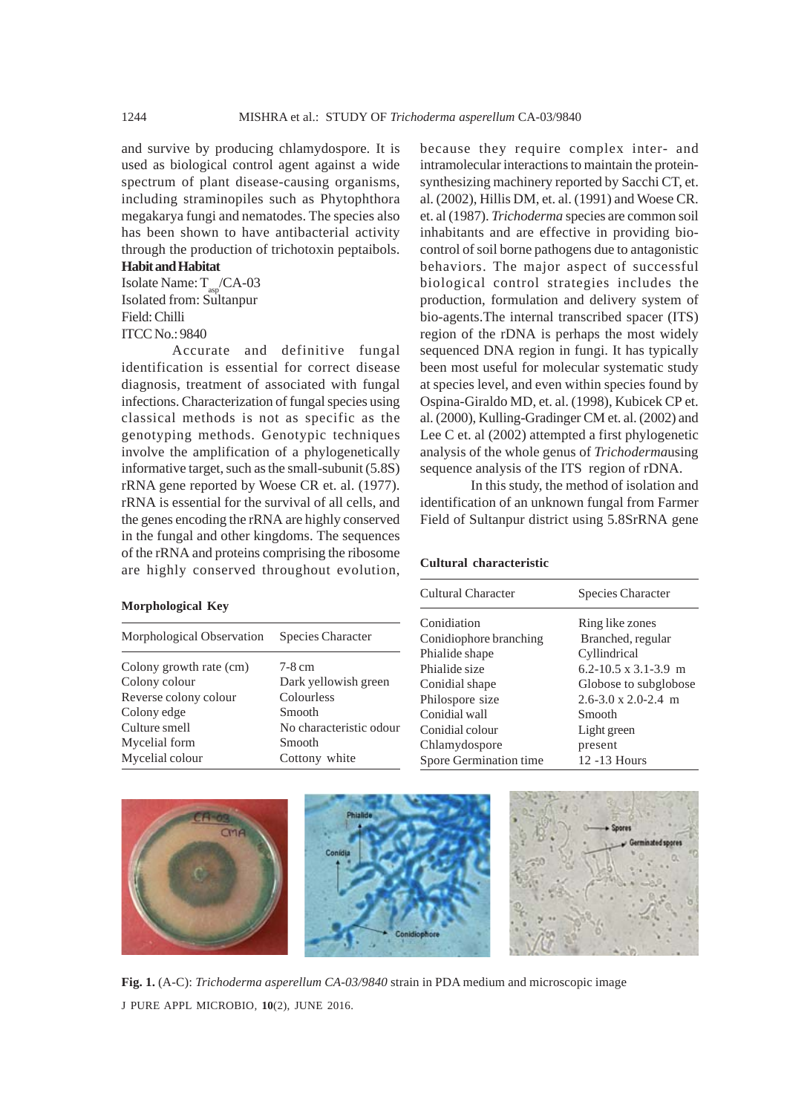and survive by producing chlamydospore*.* It is used as biological control agent against a wide spectrum of plant disease-causing organisms, including straminopiles such as Phytophthora megakarya fungi and nematodes. The species also has been shown to have antibacterial activity through the production of trichotoxin peptaibols.

## **Habit and Habitat**

Isolate Name:  $T_{\text{as}}$ /CA-03 Isolated from: Sultanpur Field: Chilli ITCC No.: 9840

Accurate and definitive fungal identification is essential for correct disease diagnosis, treatment of associated with fungal infections. Characterization of fungal species using classical methods is not as specific as the genotyping methods. Genotypic techniques involve the amplification of a phylogenetically informative target, such as the small-subunit (5.8S) rRNA gene reported by Woese CR et. al. (1977). rRNA is essential for the survival of all cells, and the genes encoding the rRNA are highly conserved in the fungal and other kingdoms. The sequences of the rRNA and proteins comprising the ribosome are highly conserved throughout evolution,

#### **Morphological Key**

| Morphological Observation | Species Character       |
|---------------------------|-------------------------|
| Colony growth rate (cm)   | $7-8$ cm                |
| Colony colour             | Dark yellowish green    |
| Reverse colony colour     | Colourless              |
| Colony edge               | Smooth                  |
| Culture smell             | No characteristic odour |
| Mycelial form             | Smooth                  |
| Mycelial colour           | Cottony white           |
|                           |                         |

because they require complex inter- and intramolecular interactions to maintain the proteinsynthesizing machinery reported by Sacchi CT, et. al. (2002), Hillis DM, et. al. (1991) and Woese CR. et. al (1987). *Trichoderma* species are common soil inhabitants and are effective in providing biocontrol of soil borne pathogens due to antagonistic behaviors. The major aspect of successful biological control strategies includes the production, formulation and delivery system of bio-agents.The internal transcribed spacer (ITS) region of the rDNA is perhaps the most widely sequenced DNA region in fungi. It has typically been most useful for molecular systematic study at species level, and even within species found by Ospina-Giraldo MD, et. al. (1998), Kubicek CP et. al. (2000), Kulling-Gradinger CM et. al. (2002) and Lee C et. al (2002) attempted a first phylogenetic analysis of the whole genus of *Trichoderma*using sequence analysis of the ITS region of rDNA.

In this study, the method of isolation and identification of an unknown fungal from Farmer Field of Sultanpur district using 5.8SrRNA gene

#### **Cultural characteristic**

| Cultural Character     | Species Character                       |
|------------------------|-----------------------------------------|
| Conidiation            | Ring like zones                         |
| Conidiophore branching | Branched, regular                       |
| Phialide shape         | Cyllindrical                            |
| Phialide size          | $6.2 - 10.5 \times 3.1 - 3.9 \text{ m}$ |
| Conidial shape         | Globose to subglobose                   |
| Philospore size        | $2.6 - 3.0 \times 2.0 - 2.4$ m          |
| Conidial wall          | Smooth                                  |
| Conidial colour        | Light green                             |
| Chlamydospore          | present                                 |
| Spore Germination time | 12 -13 Hours                            |



J PURE APPL MICROBIO*,* **10**(2), JUNE 2016. **Fig. 1.** (A-C): *Trichoderma asperellum CA-03/9840* strain in PDA medium and microscopic image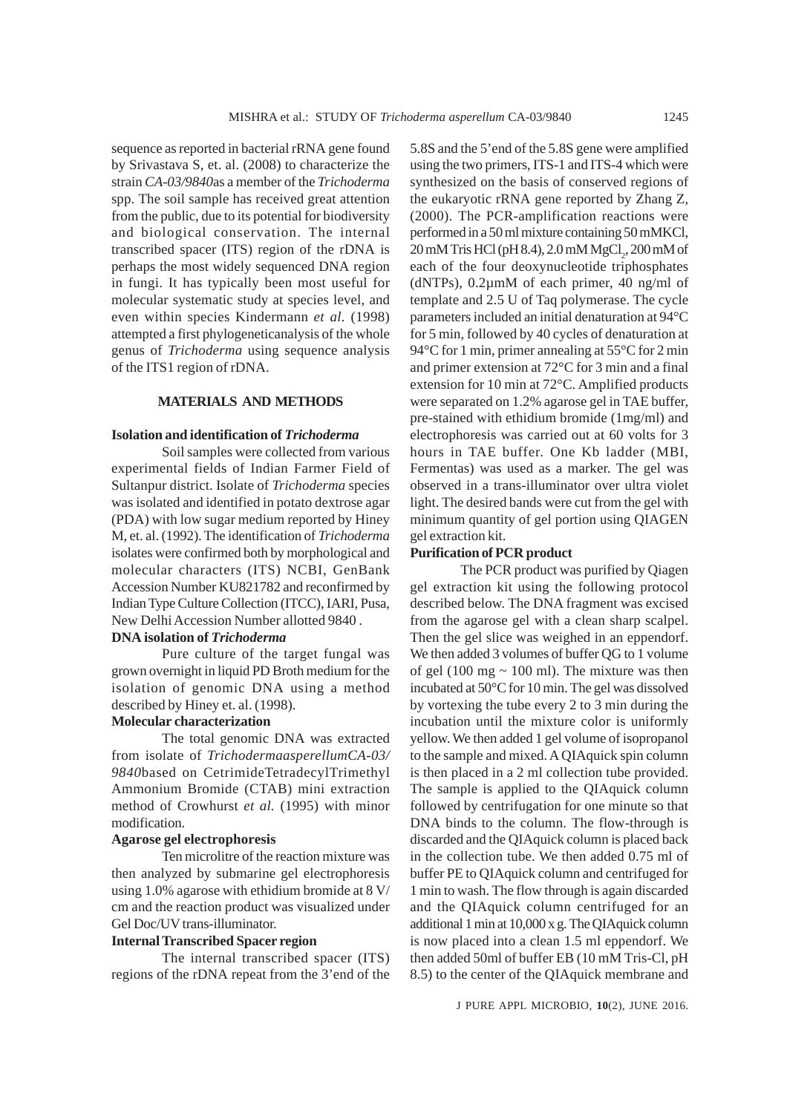sequence as reported in bacterial rRNA gene found by Srivastava S, et. al. (2008) to characterize the strain *CA-03/9840*as a member of the *Trichoderma* spp. The soil sample has received great attention from the public, due to its potential for biodiversity and biological conservation. The internal transcribed spacer (ITS) region of the rDNA is perhaps the most widely sequenced DNA region in fungi. It has typically been most useful for molecular systematic study at species level, and even within species Kindermann *et al.* (1998) attempted a first phylogeneticanalysis of the whole genus of *Trichoderma* using sequence analysis of the ITS1 region of rDNA.

## **MATERIALS AND METHODS**

## **Isolation and identification of** *Trichoderma*

Soil samples were collected from various experimental fields of Indian Farmer Field of Sultanpur district. Isolate of *Trichoderma* species was isolated and identified in potato dextrose agar (PDA) with low sugar medium reported by Hiney M, et. al. (1992). The identification of *Trichoderma* isolates were confirmed both by morphological and molecular characters (ITS) NCBI, GenBank Accession Number KU821782 and reconfirmed by Indian Type Culture Collection (ITCC), IARI, Pusa, New Delhi Accession Number allotted 9840 .

## **DNA isolation of** *Trichoderma*

Pure culture of the target fungal was grown overnight in liquid PD Broth medium for the isolation of genomic DNA using a method described by Hiney et. al. (1998).

## **Molecular characterization**

The total genomic DNA was extracted from isolate of *TrichodermaasperellumCA-03/ 9840*based on CetrimideTetradecylTrimethyl Ammonium Bromide (CTAB) mini extraction method of Crowhurst *et al.* (1995) with minor modification.

#### **Agarose gel electrophoresis**

Ten microlitre of the reaction mixture was then analyzed by submarine gel electrophoresis using 1.0% agarose with ethidium bromide at 8 V/ cm and the reaction product was visualized under Gel Doc/UV trans-illuminator.

#### **Internal Transcribed Spacer region**

The internal transcribed spacer (ITS) regions of the rDNA repeat from the 3'end of the 5.8S and the 5'end of the 5.8S gene were amplified using the two primers, ITS-1 and ITS-4 which were synthesized on the basis of conserved regions of the eukaryotic rRNA gene reported by Zhang Z, (2000). The PCR-amplification reactions were performed in a 50 ml mixture containing 50 mMKCl, 20 mM Tris HCl (pH 8.4), 2.0 mM MgCl<sub>2</sub>, 200 mM of each of the four deoxynucleotide triphosphates ( $dNTPs$ ), 0.2 $\mu$ mM of each primer, 40 ng/ml of template and 2.5 U of Taq polymerase. The cycle parameters included an initial denaturation at 94°C for 5 min, followed by 40 cycles of denaturation at 94°C for 1 min, primer annealing at 55°C for 2 min and primer extension at 72°C for 3 min and a final extension for 10 min at 72°C. Amplified products were separated on 1.2% agarose gel in TAE buffer, pre-stained with ethidium bromide (1mg/ml) and electrophoresis was carried out at 60 volts for 3 hours in TAE buffer. One Kb ladder (MBI, Fermentas) was used as a marker. The gel was observed in a trans-illuminator over ultra violet light. The desired bands were cut from the gel with minimum quantity of gel portion using QIAGEN gel extraction kit.

#### **Purification of PCR product**

The PCR product was purified by Qiagen gel extraction kit using the following protocol described below. The DNA fragment was excised from the agarose gel with a clean sharp scalpel. Then the gel slice was weighed in an eppendorf. We then added 3 volumes of buffer QG to 1 volume of gel (100 mg  $\sim$  100 ml). The mixture was then incubated at 50°C for 10 min. The gel was dissolved by vortexing the tube every 2 to 3 min during the incubation until the mixture color is uniformly yellow. We then added 1 gel volume of isopropanol to the sample and mixed. A QIAquick spin column is then placed in a 2 ml collection tube provided. The sample is applied to the QIAquick column followed by centrifugation for one minute so that DNA binds to the column. The flow-through is discarded and the QIAquick column is placed back in the collection tube. We then added 0.75 ml of buffer PE to QIAquick column and centrifuged for 1 min to wash. The flow through is again discarded and the QIAquick column centrifuged for an additional 1 min at 10,000 x g. The QIAquick column is now placed into a clean 1.5 ml eppendorf. We then added 50ml of buffer EB (10 mM Tris-Cl, pH 8.5) to the center of the QIAquick membrane and

J PURE APPL MICROBIO*,* **10**(2), JUNE 2016.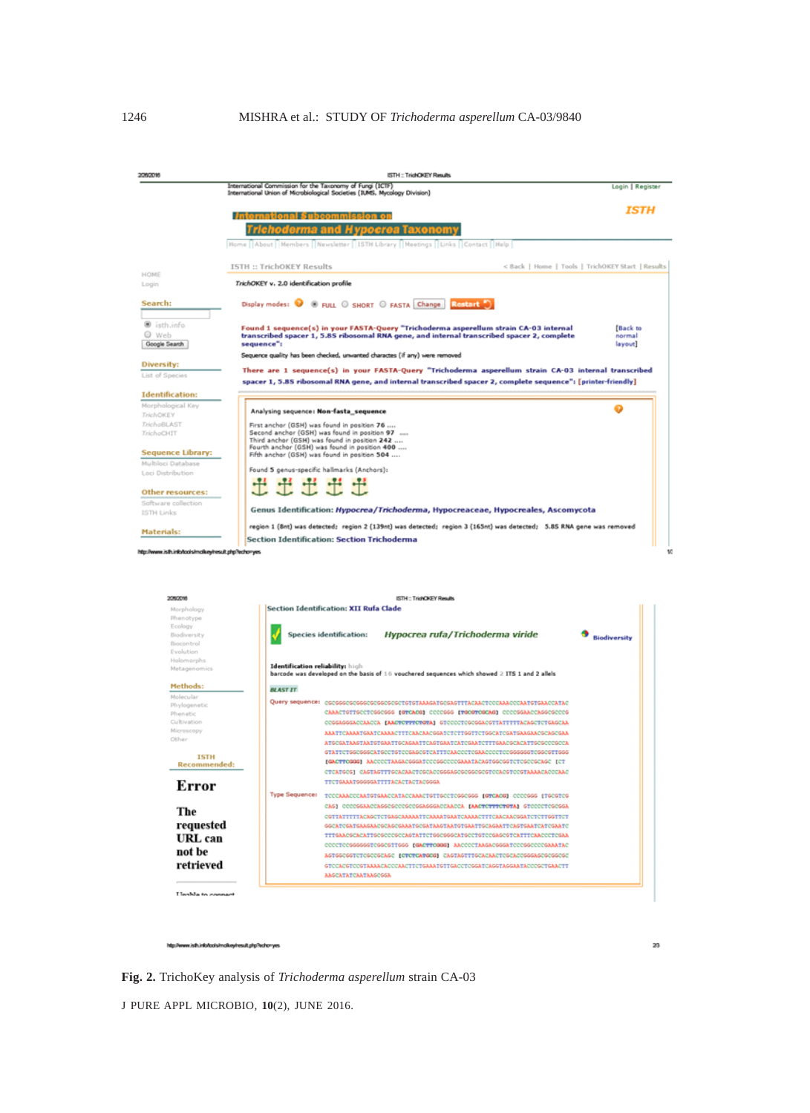|                                                                                                                              | International Commission for the Taxonomy of Fungi (ICTF)<br>International Union of Microbiological Societies (IUMS, Mycology Division)                                             | Login   Register    |
|------------------------------------------------------------------------------------------------------------------------------|-------------------------------------------------------------------------------------------------------------------------------------------------------------------------------------|---------------------|
|                                                                                                                              |                                                                                                                                                                                     |                     |
|                                                                                                                              | <b>International Subcommission on</b>                                                                                                                                               | ISTH                |
|                                                                                                                              | erma a<br><i>nocrea</i> Taxonom                                                                                                                                                     |                     |
|                                                                                                                              | Home   About   Members   Newsletter   ISTH Library   Meetings   Links   Contact   Help                                                                                              |                     |
|                                                                                                                              |                                                                                                                                                                                     |                     |
|                                                                                                                              | < Back   Home   Tools   TrichOKEY Start   Results<br>ISTH :: TrichOKEY Results                                                                                                      |                     |
| HOME<br>Login                                                                                                                | TrichOKEY v. 2.0 identification profile                                                                                                                                             |                     |
|                                                                                                                              |                                                                                                                                                                                     |                     |
| Search:                                                                                                                      | Display modes: O @ FULL @ SHORT @ FASTA Change Rostart 0                                                                                                                            |                     |
| isth.info                                                                                                                    |                                                                                                                                                                                     |                     |
| @ Web                                                                                                                        | Found 1 sequence(s) in your FASTA-Query "Trichoderma asperellum strain CA-03 internal<br>transcribed spacer 1, 5.85 ribosomal RNA gene, and internal transcribed spacer 2, complete | [Back to<br>normal  |
| Google Search                                                                                                                | sequence":                                                                                                                                                                          | layout]             |
|                                                                                                                              | Sequence quality has been checked, unwanted charactes (if any) were removed                                                                                                         |                     |
| Diversity:<br>List of Species                                                                                                | There are 1 sequence(s) in your FASTA-Query "Trichoderma asperellum strain CA-03 internal transcribed                                                                               |                     |
|                                                                                                                              | spacer 1, 5.8S ribosomal RNA gene, and internal transcribed spacer 2, complete sequence": [printer-friendly]                                                                        |                     |
| <b>Identification:</b>                                                                                                       |                                                                                                                                                                                     |                     |
| Morphological Key<br><b>TrichOKEY</b>                                                                                        | Analysing sequence: Mon-fasta_sequence                                                                                                                                              |                     |
| <b>TrichoBLAST</b>                                                                                                           | First anchor (GSH) was found in position 76                                                                                                                                         |                     |
| TrichoCHIT                                                                                                                   | Second anchor (GSH) was found in position 97<br>Third anchor (GSH) was found in position 242                                                                                        |                     |
|                                                                                                                              | Fourth anchor (GSH) was found in position 400                                                                                                                                       |                     |
| Sequence Library:<br>Multiloci Database                                                                                      | Fifth anchor (GSH) was found in position 504                                                                                                                                        |                     |
| Loci Distribution                                                                                                            | Found 5 genus-specific hallmarks (Anchors):                                                                                                                                         |                     |
|                                                                                                                              | o o o                                                                                                                                                                               |                     |
|                                                                                                                              |                                                                                                                                                                                     |                     |
|                                                                                                                              |                                                                                                                                                                                     |                     |
|                                                                                                                              | Genus Identification: Hypocrea/Trichoderma, Hypocreaceae, Hypocreales, Ascomycota                                                                                                   |                     |
|                                                                                                                              | region 1 (8nt) was detected; region 2 (139nt) was detected; region 3 (165nt) was detected; 5.85 RNA gene was removed<br>Section Identification: Section Trichoderma                 |                     |
|                                                                                                                              |                                                                                                                                                                                     |                     |
| 2060016                                                                                                                      | ISTH: TrichOKEY Results                                                                                                                                                             |                     |
| Morphology                                                                                                                   | Section Identification: XII Rufa Clade                                                                                                                                              |                     |
| Phenotype<br>Ecology                                                                                                         |                                                                                                                                                                                     |                     |
| Biodiversity                                                                                                                 | Hypocrea rufa/Trichoderma viride<br>Species identification:                                                                                                                         | <b>Biodiversity</b> |
| Biocontrol<br>Evolution                                                                                                      |                                                                                                                                                                                     |                     |
| Holomorphs                                                                                                                   |                                                                                                                                                                                     |                     |
| Metagenomics                                                                                                                 | Identification reliability: high<br>barcode was developed on the basis of 16 vouchered sequences which showed 2 ITS 1 and 2 allels                                                  |                     |
| Methods:                                                                                                                     | <b>BLAST IT</b>                                                                                                                                                                     |                     |
| Molecular                                                                                                                    | Query sequence: cscssccscsscsccsccsccccccccamusarscsasttracaactcccaaacccaarstsaaccarac                                                                                              |                     |
| Phylogenetic<br>Phenetic                                                                                                     | CAAACTGTTGCCTCGGCGGG (GTCACG) CCCCGGG (TGCGTCGCAG) CCCCGGAACCAGGCGCCG                                                                                                               |                     |
| Cultivation                                                                                                                  | COSSASSGACCAACCA [AACTOTTTCTGTA] STOCCOTOSOSGACSTTATTTTTACASCTCTGASCAA                                                                                                              |                     |
| Microscopy<br>Other                                                                                                          | ARATTCAARATGAATCAARACTTTCAACACGGATCTCTTGGTTCTGGCATCGATGAAGAACGCAGCGAR                                                                                                               |                     |
|                                                                                                                              | GTATTCTGGCGGGCATGCCTGTCCGAGCGTCATTTCAACCCTCGAACCCCTCCGGGGGGTCGGCGTTGGG                                                                                                              |                     |
| <b>ISTH</b><br>Recommended:                                                                                                  | [GACTTCGGG] AACCCCTAAGACGGGATCCCGGCCCCGAAATACAGTGGCGGTCTCGCCGCAGC [CT                                                                                                               |                     |
|                                                                                                                              | CTCATGCG] CAGTAGTTTGCACAACTCGCACCGGGAGCGCGGCGCGTCCACGTCCGTAAAACACCCAAC                                                                                                              |                     |
| Error                                                                                                                        | TTCTGAAATGGGGGATTTTACACTACTACGGGA                                                                                                                                                   |                     |
|                                                                                                                              | <b>Type Sequence:</b><br>TOOCAAACOCAATGTGAACCATACCAAACTGTTGCCTCGGCGGG (GTCACG) OCCCGGG (TGCGTC                                                                                      |                     |
| The                                                                                                                          | CAGI CCCCGGAACCAGGCGCCCGCCGGAGGACCAACCA [AACTCTTTCTGTA] GTCCCCTCGCGGA                                                                                                               |                     |
|                                                                                                                              | CSTTATTTTTACASCTCTGASCAAAAATTCAAAATGAAACCAAAACTTTCAACAACGGATCTCTTGGTTCT<br>GGCATCGATGAAGAACGCAGCGAAATGCGATAAGTAATGTGAATTGCAGAATTCAGTGAATCATCGAATC                                   |                     |
| requested<br>URL can                                                                                                         | TTTGAACGCACATTGCGCCCCCAGTATTCTGGCGGGCATGCCTGTCCGAGCGTCATTTCAACCCTCGAA                                                                                                               |                     |
| Other resources:<br>Software collection<br>ISTH Links<br>Materials:<br>http://www.isfh.info/tools/molkey/result.php?echo=yes | COOCTOOGGGGGGTCGGCGTTGGG [GACTTCGGG] AACCOCTAAGACGGGATCCCGGCCCCGAAATAC                                                                                                              |                     |
| not be<br>retrieved                                                                                                          | ASTGSCGGTCTCGCCGCAGC (CTCTCATGCG) CASTAGTTTGCACAACTCGCACCGGGAGCGCGGCGC<br>GTCCACGTCCGTAAAACACCCAACTTCTGAAATGTTGACCTCGGATCAGGTAGGAATACCCGCTGAACTT                                    |                     |

ww.isth.info/tools/molkey/result\_php?echo=yes htp://w

**Fig. 2.** TrichoKey analysis of *Trichoderma asperellum* strain CA-03

J PURE APPL MICROBIO*,* **10**(2), JUNE 2016.

 $_{23}$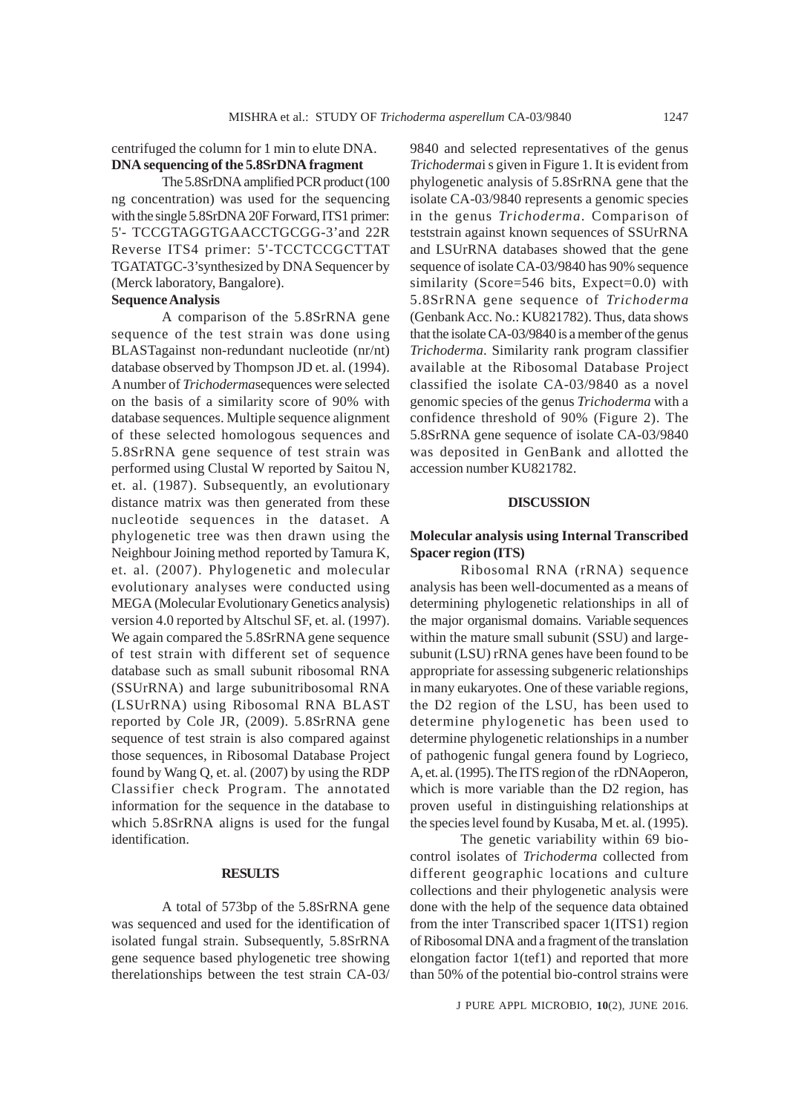centrifuged the column for 1 min to elute DNA. **DNA sequencing of the 5.8SrDNA fragment**

The 5.8SrDNA amplified PCR product (100 ng concentration) was used for the sequencing with the single 5.8SrDNA 20F Forward, ITS1 primer: 5'- TCCGTAGGTGAACCTGCGG-3'and 22R Reverse ITS4 primer: 5'-TCCTCCGCTTAT TGATATGC-3'synthesized by DNA Sequencer by (Merck laboratory, Bangalore).

## **Sequence Analysis**

A comparison of the 5.8SrRNA gene sequence of the test strain was done using BLASTagainst non-redundant nucleotide (nr/nt) database observed by Thompson JD et. al. (1994). A number of *Trichoderma*sequences were selected on the basis of a similarity score of 90% with database sequences. Multiple sequence alignment of these selected homologous sequences and 5.8SrRNA gene sequence of test strain was performed using Clustal W reported by Saitou N, et. al. (1987). Subsequently, an evolutionary distance matrix was then generated from these nucleotide sequences in the dataset. A phylogenetic tree was then drawn using the Neighbour Joining method reported by Tamura K, et. al. (2007). Phylogenetic and molecular evolutionary analyses were conducted using MEGA (Molecular Evolutionary Genetics analysis) version 4.0 reported by Altschul SF, et. al. (1997). We again compared the 5.8SrRNA gene sequence of test strain with different set of sequence database such as small subunit ribosomal RNA (SSUrRNA) and large subunitribosomal RNA (LSUrRNA) using Ribosomal RNA BLAST reported by Cole JR, (2009). 5.8SrRNA gene sequence of test strain is also compared against those sequences, in Ribosomal Database Project found by Wang Q, et. al. (2007) by using the RDP Classifier check Program. The annotated information for the sequence in the database to which 5.8SrRNA aligns is used for the fungal identification.

## **RESULTS**

A total of 573bp of the 5.8SrRNA gene was sequenced and used for the identification of isolated fungal strain. Subsequently, 5.8SrRNA gene sequence based phylogenetic tree showing therelationships between the test strain CA-03/ 9840 and selected representatives of the genus *Trichoderma*i s given in Figure 1. It is evident from phylogenetic analysis of 5.8SrRNA gene that the isolate CA-03/9840 represents a genomic species in the genus *Trichoderma*. Comparison of teststrain against known sequences of SSUrRNA and LSUrRNA databases showed that the gene sequence of isolate CA-03/9840 has 90% sequence similarity (Score=546 bits, Expect=0.0) with 5.8SrRNA gene sequence of *Trichoderma* (Genbank Acc. No.: KU821782). Thus, data shows that the isolate CA-03/9840 is a member of the genus *Trichoderma*. Similarity rank program classifier available at the Ribosomal Database Project classified the isolate CA-03/9840 as a novel genomic species of the genus *Trichoderma* with a confidence threshold of 90% (Figure 2). The 5.8SrRNA gene sequence of isolate CA-03/9840 was deposited in GenBank and allotted the accession number KU821782.

### **DISCUSSION**

## **Molecular analysis using Internal Transcribed Spacer region (ITS)**

Ribosomal RNA (rRNA) sequence analysis has been well-documented as a means of determining phylogenetic relationships in all of the major organismal domains. Variable sequences within the mature small subunit (SSU) and largesubunit (LSU) rRNA genes have been found to be appropriate for assessing subgeneric relationships in many eukaryotes. One of these variable regions, the D2 region of the LSU, has been used to determine phylogenetic has been used to determine phylogenetic relationships in a number of pathogenic fungal genera found by Logrieco, A, et. al. (1995). The ITS region of the rDNAoperon, which is more variable than the D2 region, has proven useful in distinguishing relationships at the species level found by Kusaba, M et. al. (1995).

The genetic variability within 69 biocontrol isolates of *Trichoderma* collected from different geographic locations and culture collections and their phylogenetic analysis were done with the help of the sequence data obtained from the inter Transcribed spacer 1(ITS1) region of Ribosomal DNA and a fragment of the translation elongation factor 1(tef1) and reported that more than 50% of the potential bio-control strains were

J PURE APPL MICROBIO*,* **10**(2), JUNE 2016.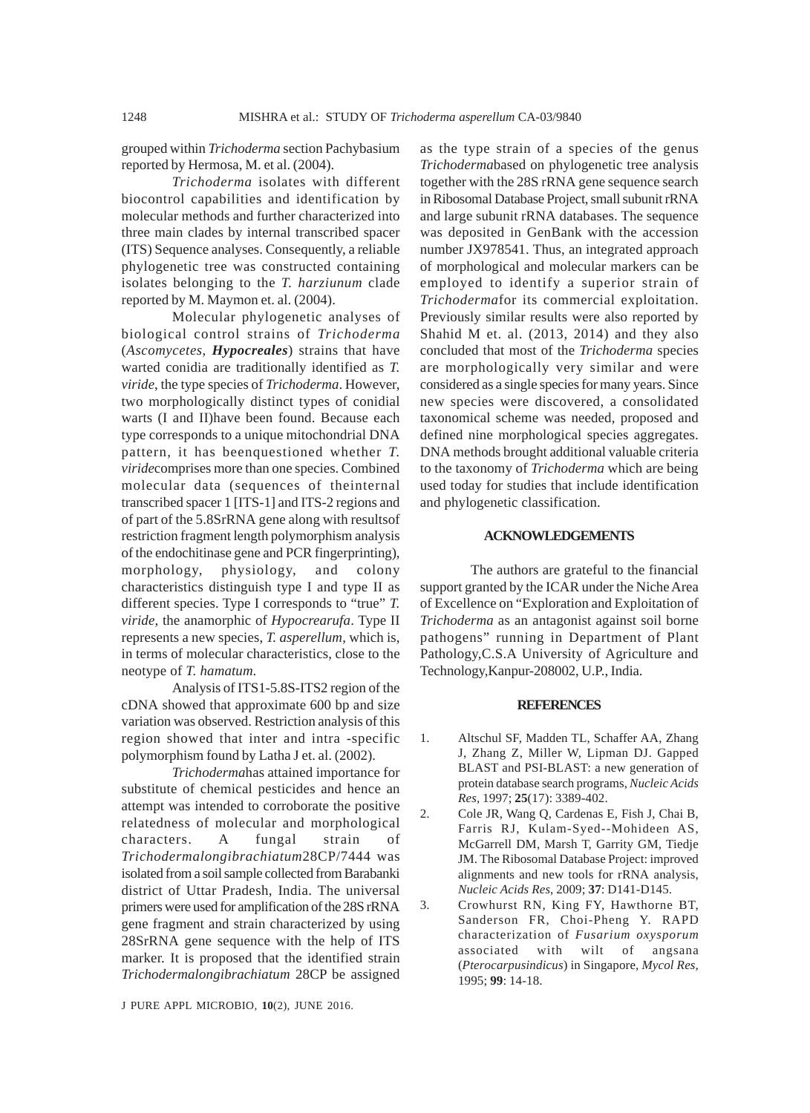grouped within *Trichoderma* section Pachybasium reported by Hermosa, M. et al. (2004).

*Trichoderma* isolates with different biocontrol capabilities and identification by molecular methods and further characterized into three main clades by internal transcribed spacer (ITS) Sequence analyses. Consequently, a reliable phylogenetic tree was constructed containing isolates belonging to the *T. harziunum* clade reported by M. Maymon et. al. (2004).

Molecular phylogenetic analyses of biological control strains of *Trichoderma* (*Ascomycetes*, *Hypocreales*) strains that have warted conidia are traditionally identified as *T. viride*, the type species of *Trichoderma*. However, two morphologically distinct types of conidial warts (I and II)have been found. Because each type corresponds to a unique mitochondrial DNA pattern, it has beenquestioned whether *T. viride*comprises more than one species. Combined molecular data (sequences of theinternal transcribed spacer 1 [ITS-1] and ITS-2 regions and of part of the 5.8SrRNA gene along with resultsof restriction fragment length polymorphism analysis of the endochitinase gene and PCR fingerprinting), morphology, physiology, and colony characteristics distinguish type I and type II as different species. Type I corresponds to "true" *T. viride*, the anamorphic of *Hypocrearufa*. Type II represents a new species, *T. asperellum*, which is, in terms of molecular characteristics, close to the neotype of *T. hamatum*.

Analysis of ITS1-5.8S-ITS2 region of the cDNA showed that approximate 600 bp and size variation was observed. Restriction analysis of this region showed that inter and intra -specific polymorphism found by Latha J et. al. (2002).

*Trichoderma*has attained importance for substitute of chemical pesticides and hence an attempt was intended to corroborate the positive relatedness of molecular and morphological characters. A fungal strain of *Trichodermalongibrachiatum*28CP/7444 was isolated from a soil sample collected from Barabanki district of Uttar Pradesh, India. The universal primers were used for amplification of the 28S rRNA gene fragment and strain characterized by using 28SrRNA gene sequence with the help of ITS marker. It is proposed that the identified strain *Trichodermalongibrachiatum* 28CP be assigned

J PURE APPL MICROBIO*,* **10**(2), JUNE 2016.

as the type strain of a species of the genus *Trichoderma*based on phylogenetic tree analysis together with the 28S rRNA gene sequence search in Ribosomal Database Project, small subunit rRNA and large subunit rRNA databases. The sequence was deposited in GenBank with the accession number JX978541. Thus, an integrated approach of morphological and molecular markers can be employed to identify a superior strain of *Trichoderma*for its commercial exploitation. Previously similar results were also reported by Shahid M et. al. (2013, 2014) and they also concluded that most of the *Trichoderma* species are morphologically very similar and were considered as a single species for many years. Since new species were discovered, a consolidated taxonomical scheme was needed, proposed and defined nine morphological species aggregates. DNA methods brought additional valuable criteria to the taxonomy of *Trichoderma* which are being used today for studies that include identification and phylogenetic classification.

## **ACKNOWLEDGEMENTS**

The authors are grateful to the financial support granted by the ICAR under the Niche Area of Excellence on "Exploration and Exploitation of *Trichoderma* as an antagonist against soil borne pathogens" running in Department of Plant Pathology,C.S.A University of Agriculture and Technology,Kanpur-208002, U.P., India.

#### **REFERENCES**

- 1. Altschul SF, Madden TL, Schaffer AA, Zhang J, Zhang Z, Miller W, Lipman DJ. Gapped BLAST and PSI-BLAST: a new generation of protein database search programs, *Nucleic Acids Res,* 1997; **25**(17): 3389-402.
- 2. Cole JR, Wang Q, Cardenas E, Fish J, Chai B, Farris RJ, Kulam-Syed--Mohideen AS, McGarrell DM, Marsh T, Garrity GM, Tiedje JM. The Ribosomal Database Project: improved alignments and new tools for rRNA analysis, *Nucleic Acids Res*, 2009; **37**: D141-D145.
- 3. Crowhurst RN, King FY, Hawthorne BT, Sanderson FR, Choi-Pheng Y. RAPD characterization of *Fusarium oxysporum* associated with wilt of angsana (*Pterocarpusindicus*) in Singapore, *Mycol Res*, 1995; **99**: 14-18.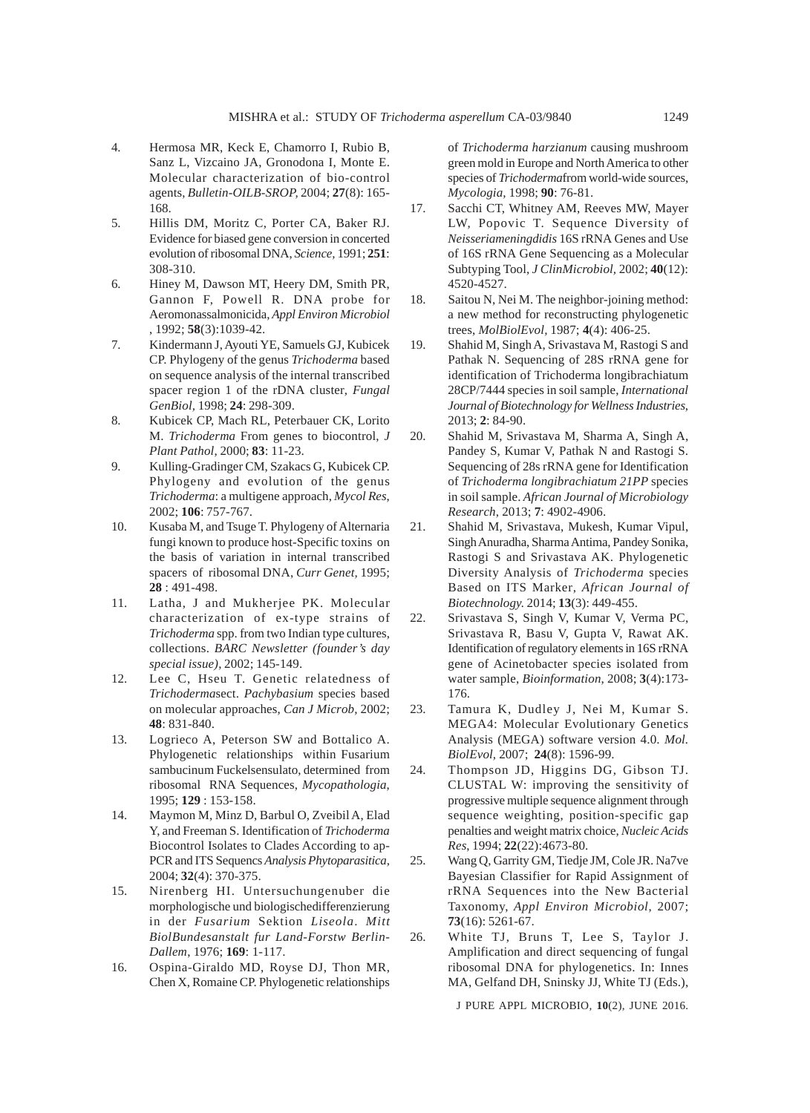- 4. Hermosa MR, Keck E, Chamorro I, Rubio B, Sanz L, Vizcaino JA, Gronodona I, Monte E. Molecular characterization of bio-control agents, *Bulletin-OILB-SROP,* 2004; **27**(8): 165- 168.
- 5. Hillis DM, Moritz C, Porter CA, Baker RJ. Evidence for biased gene conversion in concerted evolution of ribosomal DNA, *Science,* 1991; **251**: 308-310.
- 6. Hiney M, Dawson MT, Heery DM, Smith PR, Gannon F, Powell R. DNA probe for Aeromonassalmonicida, *Appl Environ Microbiol* , 1992; **58**(3):1039-42.
- 7. Kindermann J, Ayouti YE, Samuels GJ, Kubicek CP. Phylogeny of the genus *Trichoderma* based on sequence analysis of the internal transcribed spacer region 1 of the rDNA cluster, *Fungal GenBiol,* 1998; **24**: 298-309.
- 8. Kubicek CP, Mach RL, Peterbauer CK, Lorito M. *Trichoderma* From genes to biocontrol, *J Plant Pathol*, 2000; **83**: 11-23.
- 9. Kulling-Gradinger CM, Szakacs G, Kubicek CP. Phylogeny and evolution of the genus *Trichoderma*: a multigene approach, *Mycol Res*, 2002; **106**: 757-767.
- 10. Kusaba M, and Tsuge T. Phylogeny of Alternaria fungi known to produce host-Specific toxins on the basis of variation in internal transcribed spacers of ribosomal DNA, *Curr Genet,* 1995; **28** : 491-498.
- 11. Latha, J and Mukherjee PK. Molecular characterization of ex-type strains of *Trichoderma* spp. from two Indian type cultures, collections. *BARC Newsletter (founder's day special issue)*, 2002; 145-149.
- 12. Lee C, Hseu T. Genetic relatedness of *Trichoderma*sect. *Pachybasium* species based on molecular approaches, *Can J Microb,* 2002; **48**: 831-840.
- 13. Logrieco A, Peterson SW and Bottalico A. Phylogenetic relationships within Fusarium sambucinum Fuckelsensulato, determined from ribosomal RNA Sequences, *Mycopathologia*, 1995; **129** : 153-158.
- 14. Maymon M, Minz D, Barbul O, Zveibil A, Elad Y, and Freeman S. Identification of *Trichoderma* Biocontrol Isolates to Clades According to ap-PCR and ITS Sequencs *Analysis Phytoparasitica,* 2004; **32**(4): 370-375.
- 15. Nirenberg HI. Untersuchungenuber die morphologische und biologischedifferenzierung in der *Fusarium* Sektion *Liseola*. *Mitt BiolBundesanstalt fur Land-Forstw Berlin-Dallem*, 1976; **169**: 1-117.
- 16. Ospina-Giraldo MD, Royse DJ, Thon MR, Chen X, Romaine CP. Phylogenetic relationships

of *Trichoderma harzianum* causing mushroom green mold in Europe and North America to other species of *Trichoderma*from world-wide sources, *Mycologia,* 1998; **90**: 76-81.

- 17. Sacchi CT, Whitney AM, Reeves MW, Mayer LW, Popovic T. Sequence Diversity of *Neisseriameningdidis* 16S rRNA Genes and Use of 16S rRNA Gene Sequencing as a Molecular Subtyping Tool, *J ClinMicrobiol,* 2002; **40**(12): 4520-4527.
- 18. Saitou N, Nei M. The neighbor-joining method: a new method for reconstructing phylogenetic trees, *MolBiolEvol,* 1987; **4**(4): 406-25.
- 19. Shahid M, Singh A, Srivastava M, Rastogi S and Pathak N. Sequencing of 28S rRNA gene for identification of Trichoderma longibrachiatum 28CP/7444 species in soil sample, *International Journal of Biotechnology for Wellness Industries*, 2013; **2**: 84-90.
- 20. Shahid M, Srivastava M, Sharma A, Singh A, Pandey S, Kumar V, Pathak N and Rastogi S. Sequencing of 28s rRNA gene for Identification of *Trichoderma longibrachiatum 21PP* species in soil sample. *African Journal of Microbiology Research*, 2013; **7**: 4902-4906.
- 21. Shahid M, Srivastava, Mukesh, Kumar Vipul, Singh Anuradha, Sharma Antima, Pandey Sonika, Rastogi S and Srivastava AK. Phylogenetic Diversity Analysis of *Trichoderma* species Based on ITS Marker, *African Journal of Biotechnology.* 2014; **13**(3): 449-455.
- 22. Srivastava S, Singh V, Kumar V, Verma PC, Srivastava R, Basu V, Gupta V, Rawat AK. Identification of regulatory elements in 16S rRNA gene of Acinetobacter species isolated from water sample, *Bioinformation*, 2008; **3**(4):173- 176.
- 23. Tamura K, Dudley J, Nei M, Kumar S. MEGA4: Molecular Evolutionary Genetics Analysis (MEGA) software version 4.0. *Mol. BiolEvol,* 2007; **24**(8): 1596-99.
- 24. Thompson JD, Higgins DG, Gibson TJ. CLUSTAL W: improving the sensitivity of progressive multiple sequence alignment through sequence weighting, position-specific gap penalties and weight matrix choice, *Nucleic Acids Res*, 1994; **22**(22):4673-80.
- 25. Wang Q, Garrity GM, Tiedje JM, Cole JR. Na7ve Bayesian Classifier for Rapid Assignment of rRNA Sequences into the New Bacterial Taxonomy, *Appl Environ Microbiol*, 2007; **73**(16): 5261-67.
- 26. White TJ, Bruns T, Lee S, Taylor J. Amplification and direct sequencing of fungal ribosomal DNA for phylogenetics. In: Innes MA, Gelfand DH, Sninsky JJ, White TJ (Eds.),

J PURE APPL MICROBIO*,* **10**(2), JUNE 2016.